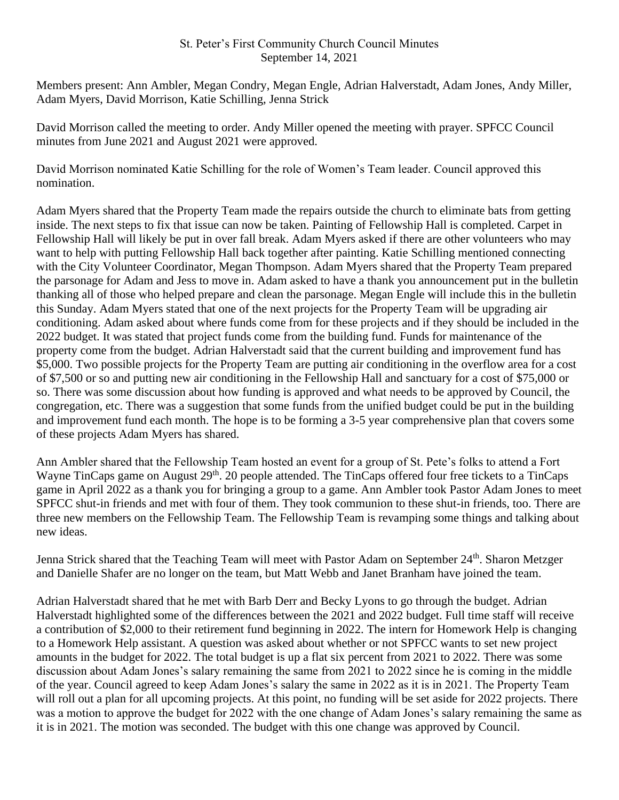## St. Peter's First Community Church Council Minutes September 14, 2021

Members present: Ann Ambler, Megan Condry, Megan Engle, Adrian Halverstadt, Adam Jones, Andy Miller, Adam Myers, David Morrison, Katie Schilling, Jenna Strick

David Morrison called the meeting to order. Andy Miller opened the meeting with prayer. SPFCC Council minutes from June 2021 and August 2021 were approved.

David Morrison nominated Katie Schilling for the role of Women's Team leader. Council approved this nomination.

Adam Myers shared that the Property Team made the repairs outside the church to eliminate bats from getting inside. The next steps to fix that issue can now be taken. Painting of Fellowship Hall is completed. Carpet in Fellowship Hall will likely be put in over fall break. Adam Myers asked if there are other volunteers who may want to help with putting Fellowship Hall back together after painting. Katie Schilling mentioned connecting with the City Volunteer Coordinator, Megan Thompson. Adam Myers shared that the Property Team prepared the parsonage for Adam and Jess to move in. Adam asked to have a thank you announcement put in the bulletin thanking all of those who helped prepare and clean the parsonage. Megan Engle will include this in the bulletin this Sunday. Adam Myers stated that one of the next projects for the Property Team will be upgrading air conditioning. Adam asked about where funds come from for these projects and if they should be included in the 2022 budget. It was stated that project funds come from the building fund. Funds for maintenance of the property come from the budget. Adrian Halverstadt said that the current building and improvement fund has \$5,000. Two possible projects for the Property Team are putting air conditioning in the overflow area for a cost of \$7,500 or so and putting new air conditioning in the Fellowship Hall and sanctuary for a cost of \$75,000 or so. There was some discussion about how funding is approved and what needs to be approved by Council, the congregation, etc. There was a suggestion that some funds from the unified budget could be put in the building and improvement fund each month. The hope is to be forming a 3-5 year comprehensive plan that covers some of these projects Adam Myers has shared.

Ann Ambler shared that the Fellowship Team hosted an event for a group of St. Pete's folks to attend a Fort Wayne TinCaps game on August 29<sup>th</sup>. 20 people attended. The TinCaps offered four free tickets to a TinCaps game in April 2022 as a thank you for bringing a group to a game. Ann Ambler took Pastor Adam Jones to meet SPFCC shut-in friends and met with four of them. They took communion to these shut-in friends, too. There are three new members on the Fellowship Team. The Fellowship Team is revamping some things and talking about new ideas.

Jenna Strick shared that the Teaching Team will meet with Pastor Adam on September 24<sup>th</sup>. Sharon Metzger and Danielle Shafer are no longer on the team, but Matt Webb and Janet Branham have joined the team.

Adrian Halverstadt shared that he met with Barb Derr and Becky Lyons to go through the budget. Adrian Halverstadt highlighted some of the differences between the 2021 and 2022 budget. Full time staff will receive a contribution of \$2,000 to their retirement fund beginning in 2022. The intern for Homework Help is changing to a Homework Help assistant. A question was asked about whether or not SPFCC wants to set new project amounts in the budget for 2022. The total budget is up a flat six percent from 2021 to 2022. There was some discussion about Adam Jones's salary remaining the same from 2021 to 2022 since he is coming in the middle of the year. Council agreed to keep Adam Jones's salary the same in 2022 as it is in 2021. The Property Team will roll out a plan for all upcoming projects. At this point, no funding will be set aside for 2022 projects. There was a motion to approve the budget for 2022 with the one change of Adam Jones's salary remaining the same as it is in 2021. The motion was seconded. The budget with this one change was approved by Council.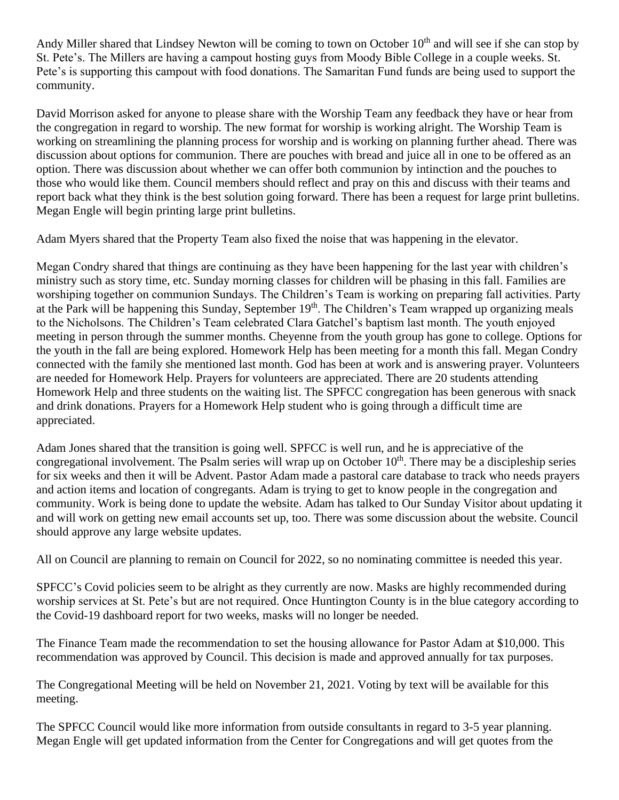Andy Miller shared that Lindsey Newton will be coming to town on October  $10<sup>th</sup>$  and will see if she can stop by St. Pete's. The Millers are having a campout hosting guys from Moody Bible College in a couple weeks. St. Pete's is supporting this campout with food donations. The Samaritan Fund funds are being used to support the community.

David Morrison asked for anyone to please share with the Worship Team any feedback they have or hear from the congregation in regard to worship. The new format for worship is working alright. The Worship Team is working on streamlining the planning process for worship and is working on planning further ahead. There was discussion about options for communion. There are pouches with bread and juice all in one to be offered as an option. There was discussion about whether we can offer both communion by intinction and the pouches to those who would like them. Council members should reflect and pray on this and discuss with their teams and report back what they think is the best solution going forward. There has been a request for large print bulletins. Megan Engle will begin printing large print bulletins.

Adam Myers shared that the Property Team also fixed the noise that was happening in the elevator.

Megan Condry shared that things are continuing as they have been happening for the last year with children's ministry such as story time, etc. Sunday morning classes for children will be phasing in this fall. Families are worshiping together on communion Sundays. The Children's Team is working on preparing fall activities. Party at the Park will be happening this Sunday, September 19<sup>th</sup>. The Children's Team wrapped up organizing meals to the Nicholsons. The Children's Team celebrated Clara Gatchel's baptism last month. The youth enjoyed meeting in person through the summer months. Cheyenne from the youth group has gone to college. Options for the youth in the fall are being explored. Homework Help has been meeting for a month this fall. Megan Condry connected with the family she mentioned last month. God has been at work and is answering prayer. Volunteers are needed for Homework Help. Prayers for volunteers are appreciated. There are 20 students attending Homework Help and three students on the waiting list. The SPFCC congregation has been generous with snack and drink donations. Prayers for a Homework Help student who is going through a difficult time are appreciated.

Adam Jones shared that the transition is going well. SPFCC is well run, and he is appreciative of the congregational involvement. The Psalm series will wrap up on October  $10<sup>th</sup>$ . There may be a discipleship series for six weeks and then it will be Advent. Pastor Adam made a pastoral care database to track who needs prayers and action items and location of congregants. Adam is trying to get to know people in the congregation and community. Work is being done to update the website. Adam has talked to Our Sunday Visitor about updating it and will work on getting new email accounts set up, too. There was some discussion about the website. Council should approve any large website updates.

All on Council are planning to remain on Council for 2022, so no nominating committee is needed this year.

SPFCC's Covid policies seem to be alright as they currently are now. Masks are highly recommended during worship services at St. Pete's but are not required. Once Huntington County is in the blue category according to the Covid-19 dashboard report for two weeks, masks will no longer be needed.

The Finance Team made the recommendation to set the housing allowance for Pastor Adam at \$10,000. This recommendation was approved by Council. This decision is made and approved annually for tax purposes.

The Congregational Meeting will be held on November 21, 2021. Voting by text will be available for this meeting.

The SPFCC Council would like more information from outside consultants in regard to 3-5 year planning. Megan Engle will get updated information from the Center for Congregations and will get quotes from the